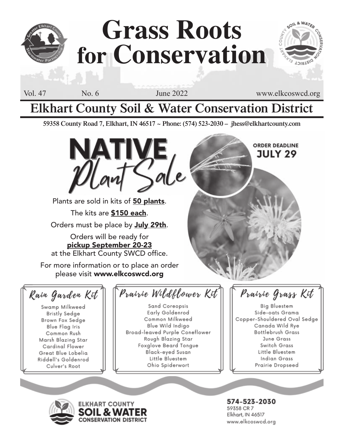

# **Grass Roots for Conservation**

Vol. 47 No. 6 June 2022 www.elkcoswcd.org

**ORDER DEADLINE JULY 29** 

SOIL & WATER

**DIATEIO** 

### **Elkhart County Soil & Water Conservation District**

**59358 County Road 7, Elkhart, IN 46517 ~ Phone: (574) 523-2030 – jhess@elkhartcounty.com**



Plants are sold in kits of 50 plants. The kits are \$150 each. Orders must be place by July 29th.

Orders will be ready for pickup September 20-23 at the Elkhart County SWCD office.

For more information or to place an order please visit www.elkcoswcd.org

Rain Garden Kit

Swamp Milkweed **Bristly Sedge** Brown Fox Sedge **Blue Flag Iris** Common Rush Marsh Blazing Star Cardinal Flower Great Blue Lobelia Riddell's Goldenrod Culver's Root

### Prairie Wildflower Kit

Sand Coreopsis Early Goldenrod Common Milkweed Blue Wild Indigo Broad-leaved Purple Coneflower Rough Blazing Star Foxglove Beard Tongue Black-eved Susan Little Bluestem Ohio Spiderwort

Prairie Grass Kit

Big Bluestem Side-oats Grama Copper-Shouldered Oval Sedge Canada Wild Rye Bottlebrush Grass June Grass Switch Grass Little Bluestem Indian Grass Prairie Dropseed





574-523-2030 59358 CR 7 Elkhart, IN 46517 www.elkcoswcd.org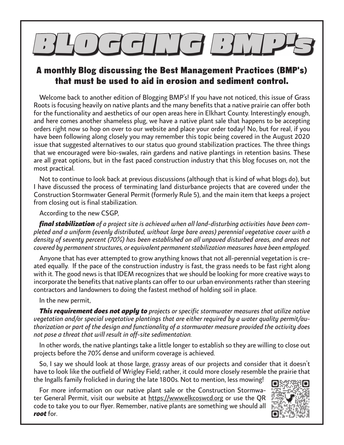# $\mathcal{A}$ lic $\mathcal{A}$ lic $\mathcal{A}$

#### A monthly Blog discussing the Best Management Practices (BMP's) that must be used to aid in erosion and sediment control.

Welcome back to another edition of Blogging BMP's! If you have not noticed, this issue of Grass Roots is focusing heavily on native plants and the many benefits that a native prairie can offer both for the functionality and aesthetics of our open areas here in Elkhart County. Interestingly enough, and here comes another shameless plug, we have a native plant sale that happens to be accepting orders right now so hop on over to our website and place your order today! No, but for real, if you have been following along closely you may remember this topic being covered in the August 2020 issue that suggested alternatives to our status quo ground stabilization practices. The three things that we encouraged were bio-swales, rain gardens and native plantings in retention basins. These are all great options, but in the fast paced construction industry that this blog focuses on, not the most practical.

Not to continue to look back at previous discussions (although that is kind of what blogs do), but I have discussed the process of terminating land disturbance projects that are covered under the Construction Stormwater General Permit (formerly Rule 5), and the main item that keeps a project from closing out is final stabilization.

According to the new CSGP,

*final stabilization of a project site is achieved when all land-disturbing activities have been completed and a uniform (evenly distributed, without large bare areas) perennial vegetative cover with a density of seventy percent (70%) has been established on all unpaved disturbed areas, and areas not covered by permanent structures, or equivalent permanent stabilization measures have been employed.*

Anyone that has ever attempted to grow anything knows that not all-perennial vegetation is created equally. If the pace of the construction industry is fast, the grass needs to be fast right along with it. The good news is that IDEM recognizes that we should be looking for more creative ways to incorporate the benefits that native plants can offer to our urban environments rather than steering contractors and landowners to doing the fastest method of holding soil in place.

In the new permit,

*This requirement does not apply to projects or specific stormwater measures that utilize native vegetation and/or special vegetative plantings that are either required by a water quality permit/authorization or part of the design and functionality of a stormwater measure provided the activity does not pose a threat that will result in off-site sedimentation.*

In other words, the native plantings take a little longer to establish so they are willing to close out projects before the 70% dense and uniform coverage is achieved.

So, I say we should look at those large, grassy areas of our projects and consider that it doesn't have to look like the outfield of Wrigley Field; rather, it could more closely resemble the prairie that the Ingalls family frolicked in during the late 1800s. Not to mention, less mowing!

For more information on our native plant sale or the Construction Stormwater General Permit, visit our website at https://www.elkcoswcd.org or use the QR code to take you to our flyer. Remember, native plants are something we should all *root* for.

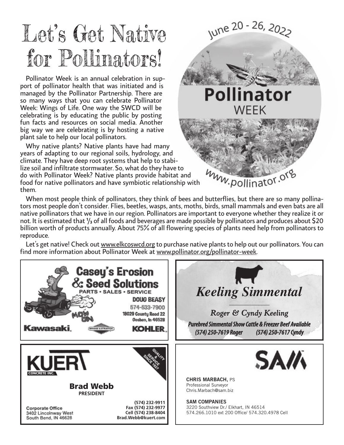## Let's Get Native for Pollinators!

Pollinator Week is an annual celebration in support of pollinator health that was initiated and is managed by the Pollinator Partnership. There are so many ways that you can celebrate Pollinator Week: Wings of Life. One way the SWCD will be celebrating is by educating the public by posting fun facts and resources on social media. Another big way we are celebrating is by hosting a native plant sale to help our local pollinators.

Why native plants? Native plants have had many years of adapting to our regional soils, hydrology, and climate. They have deep root systems that help to stabilize soil and infiltrate stormwater. So, what do they have to do with Pollinator Week? Native plants provide habitat and food for native pollinators and have symbiotic relationship with them.



When most people think of pollinators, they think of bees and butterflies, but there are so many pollinators most people don't consider. Flies, beetles, wasps, ants, moths, birds, small mammals and even bats are all native pollinators that we have in our region. Pollinators are important to everyone whether they realize it or not. It is estimated that  $\frac{1}{3}$  of all foods and beverages are made possible by pollinators and produces about \$20 billion worth of products annually. About 75% of all flowering species of plants need help from pollinators to reproduce.

Let's get native! Check out www.elkcoswcd.org to purchase native plants to help out our pollinators. You can find more information about Pollinator Week at www.pollinator.org/pollinator-week.